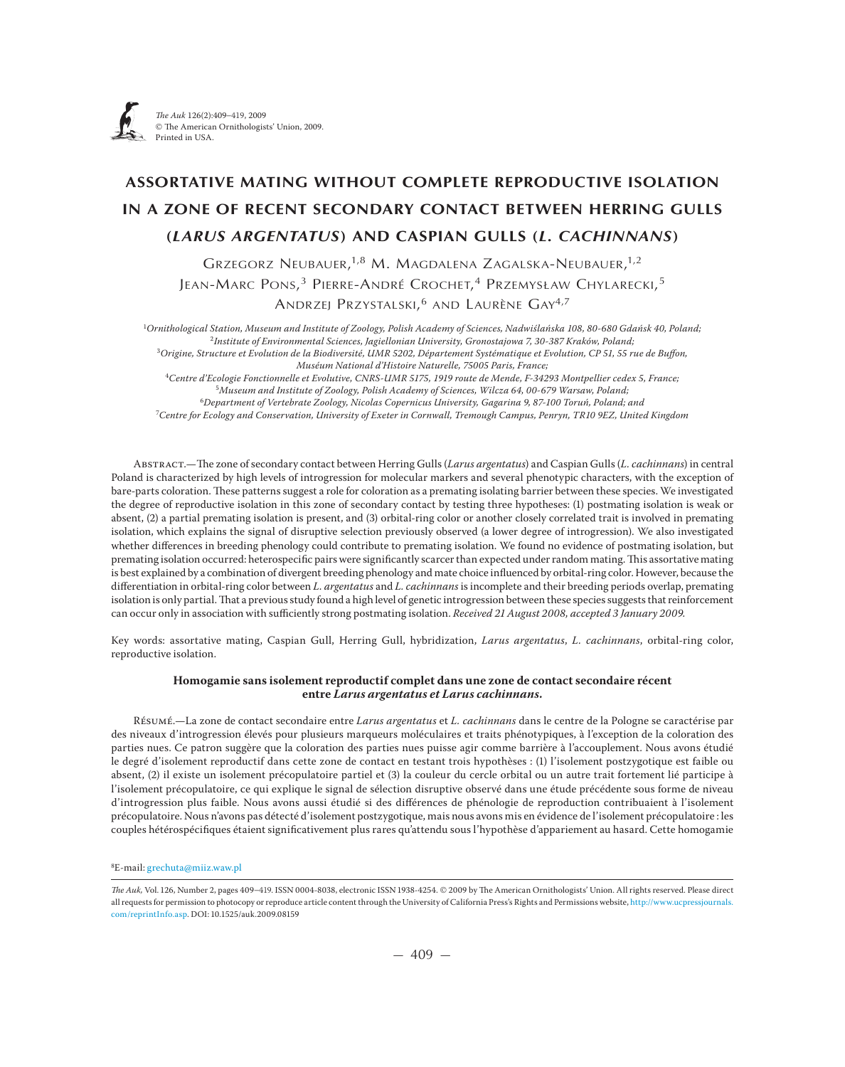

# **ASSORTATIVE MATING WITHOUT COMPLETE REPRODUCTIVE ISOLATION IN A ZONE OF RECENT SECONDARY CONTACT BETWEEN HERRING GULLS (***LARUS ARGENTATUS***) AND CASPIAN GULLS (***L. CACHINNANS***)**

Grzegorz Neubauer,<sup>1,8</sup> M. Magdalena Zagalska-Neubauer,<sup>1,2</sup> Jean-Marc Pons, $^3$  Pierre-André Crochet, $^4$  Przemysław Chylarecki, $^5$ Andrzej Przystalski,<sup>6</sup> and Laurène Gay<sup>4,7</sup>

 Ornithological Station, Museum and Institute of Zoology, Polish Academy of Sciences, Nadwiślańska 108, 80-680 Gdańsk 40, Poland; Institute of Environmental Sciences, Jagiellonian University, Gronostajowa 7, 30-387 Kraków, Poland; Origine, Structure et Evolution de la Biodiversité, UMR 5202, Département Systématique et Evolution, CP 51, 55 rue de Buffon, Muséum National d'Histoire Naturelle, 75005 Paris, France;

Centre d'Ecologie Fonctionnelle et Evolutive, CNRS-UMR 5175, 1919 route de Mende, F-34293 Montpellier cedex 5, France; Museum and Institute of Zoology, Polish Academy of Sciences, Wilcza 64, 00-679 Warsaw, Poland; Department of Vertebrate Zoology, Nicolas Copernicus University, Gagarina 9, 87-100 Toruń, Poland; and Centre for Ecology and Conservation, University of Exeter in Cornwall, Tremough Campus, Penryn, TR10 9EZ, United Kingdom

ABSTRACT.—The zone of secondary contact between Herring Gulls (Larus argentatus) and Caspian Gulls (L. cachinnans) in central Poland is characterized by high levels of introgression for molecular markers and several phenotypic characters, with the exception of bare-parts coloration. These patterns suggest a role for coloration as a premating isolating barrier between these species. We investigated the degree of reproductive isolation in this zone of secondary contact by testing three hypotheses: (1) postmating isolation is weak or absent, (2) a partial premating isolation is present, and (3) orbital-ring color or another closely correlated trait is involved in premating isolation, which explains the signal of disruptive selection previously observed (a lower degree of introgression). We also investigated whether differences in breeding phenology could contribute to premating isolation. We found no evidence of postmating isolation, but premating isolation occurred: heterospecific pairs were significantly scarcer than expected under random mating. This assortative mating is best explained by a combination of divergent breeding phenology and mate choice influenced by orbital-ring color. However, because the differentiation in orbital-ring color between L. argentatus and L. cachinnans is incomplete and their breeding periods overlap, premating isolation is only partial. That a previous study found a high level of genetic introgression between these species suggests that reinforcement can occur only in association with sufficiently strong postmating isolation. Received 21 August 2008, accepted 3 January 2009.

Key words: assortative mating, Caspian Gull, Herring Gull, hybridization, Larus argentatus, L. cachinnans, orbital-ring color, reproductive isolation.

## **Homogamie sans isolement reproductif complet dans une zone de contact secondaire récent entre** *Larus argentatus et Larus cachinnans***.**

Résumé.—La zone de contact secondaire entre Larus argentatus et L. cachinnans dans le centre de la Pologne se caractérise par des niveaux d'introgression élevés pour plusieurs marqueurs moléculaires et traits phénotypiques, à l'exception de la coloration des parties nues. Ce patron suggère que la coloration des parties nues puisse agir comme barrière à l'accouplement. Nous avons étudié le degré d'isolement reproductif dans cette zone de contact en testant trois hypothèses : () l'isolement postzygotique est faible ou absent, (2) il existe un isolement précopulatoire partiel et (3) la couleur du cercle orbital ou un autre trait fortement lié participe à l'isolement précopulatoire, ce qui explique le signal de sélection disruptive observé dans une étude précédente sous forme de niveau d'introgression plus faible. Nous avons aussi étudié si des différences de phénologie de reproduction contribuaient à l'isolement précopulatoire. Nous n'avons pas détecté d'isolement postzygotique, mais nous avons mis en évidence de l'isolement précopulatoire : les couples hétérospécifiques étaient significativement plus rares qu'attendu sous l'hypothèse d'appariement au hasard. Cette homogamie

E-mail: grechuta@miiz.waw.pl

The Auk, Vol. 126, Number 2, pages 409-419. ISSN 0004-8038, electronic ISSN 1938-4254. © 2009 by The American Ornithologists' Union. All rights reserved. Please direct all requests for permission to photocopy or reproduce article content through the University of California Press's Rights and Permissions website, http://www.ucpressjournals. com/reprintInfo.asp. DOI: 10.1525/auk.2009.08159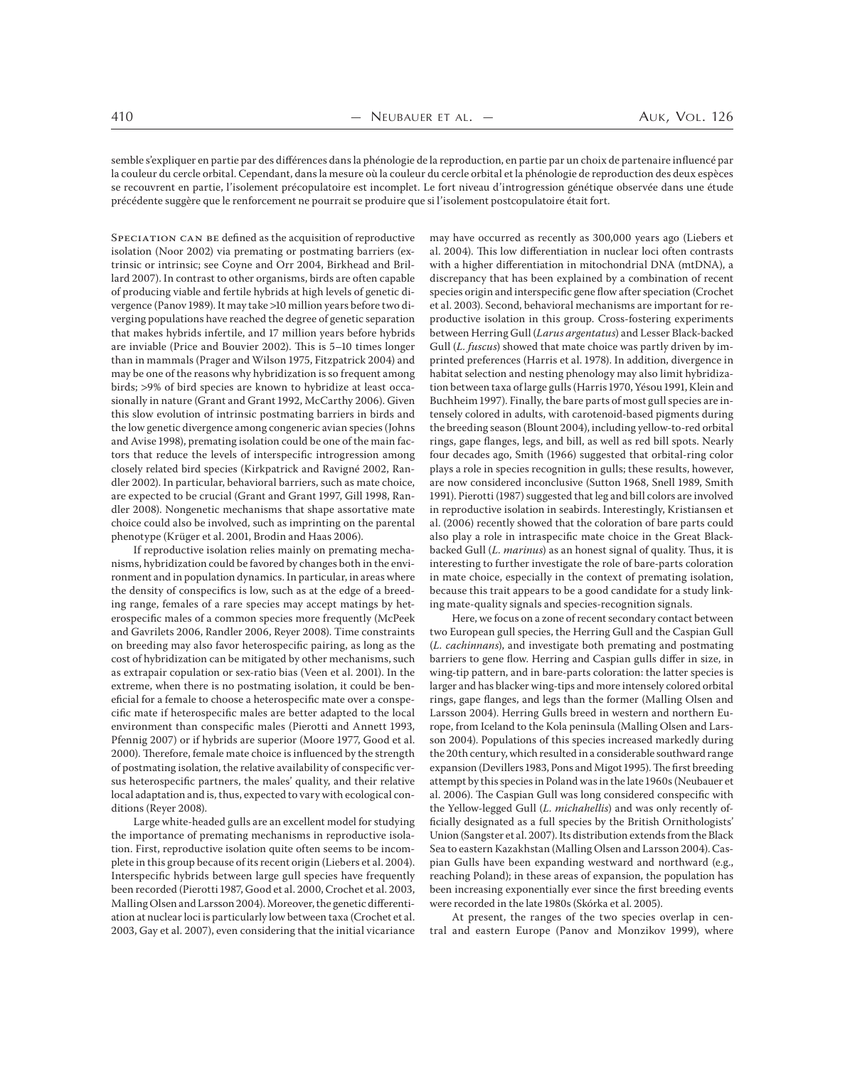semble s'expliquer en partie par des différences dans la phénologie de la reproduction, en partie par un choix de partenaire influencé par la couleur du cercle orbital. Cependant, dans la mesure où la couleur du cercle orbital et la phénologie de reproduction des deux espèces se recouvrent en partie, l'isolement précopulatoire est incomplet. Le fort niveau d'introgression génétique observée dans une étude précédente suggère que le renforcement ne pourrait se produire que si l'isolement postcopulatoire était fort.

SPECIATION CAN BE defined as the acquisition of reproductive isolation (Noor 2002) via premating or postmating barriers (extrinsic or intrinsic; see Coyne and Orr 2004, Birkhead and Brillard 2007). In contrast to other organisms, birds are often capable of producing viable and fertile hybrids at high levels of genetic divergence (Panov 1989). It may take >10 million years before two diverging populations have reached the degree of genetic separation that makes hybrids infertile, and 17 million years before hybrids are inviable (Price and Bouvier 2002). This is 5-10 times longer than in mammals (Prager and Wilson 1975, Fitzpatrick 2004) and may be one of the reasons why hybridization is so frequent among birds; >9% of bird species are known to hybridize at least occasionally in nature (Grant and Grant 1992, McCarthy 2006). Given this slow evolution of intrinsic postmating barriers in birds and the low genetic divergence among congeneric avian species (Johns and Avise 1998), premating isolation could be one of the main factors that reduce the levels of interspecific introgression among closely related bird species (Kirkpatrick and Ravigné 2002, Randler 2002). In particular, behavioral barriers, such as mate choice, are expected to be crucial (Grant and Grant 1997, Gill 1998, Randler 2008). Nongenetic mechanisms that shape assortative mate choice could also be involved, such as imprinting on the parental phenotype (Krüger et al. 2001, Brodin and Haas 2006).

If reproductive isolation relies mainly on premating mechanisms, hybridization could be favored by changes both in the environment and in population dynamics. In particular, in areas where the density of conspecifics is low, such as at the edge of a breeding range, females of a rare species may accept matings by heterospecific males of a common species more frequently (McPeek and Gavrilets 2006, Randler 2006, Reyer 2008). Time constraints on breeding may also favor heterospecific pairing, as long as the cost of hybridization can be mitigated by other mechanisms, such as extrapair copulation or sex-ratio bias (Veen et al. 2001). In the extreme, when there is no postmating isolation, it could be beneficial for a female to choose a heterospecific mate over a conspecific mate if heterospecific males are better adapted to the local environment than conspecific males (Pierotti and Annett 1993, Pfennig 2007) or if hybrids are superior (Moore 1977, Good et al. ). Therefore, female mate choice is influenced by the strength of postmating isolation, the relative availability of conspecific versus heterospecific partners, the males' quality, and their relative local adaptation and is, thus, expected to vary with ecological conditions (Reyer 2008).

Large white-headed gulls are an excellent model for studying the importance of premating mechanisms in reproductive isolation. First, reproductive isolation quite often seems to be incomplete in this group because of its recent origin (Liebers et al. 2004). Interspecific hybrids between large gull species have frequently been recorded (Pierotti 1987, Good et al. 2000, Crochet et al. 2003, Malling Olsen and Larsson 2004). Moreover, the genetic differentiation at nuclear loci is particularly low between taxa (Crochet et al. 2003, Gay et al. 2007), even considering that the initial vicariance

may have occurred as recently as 300,000 years ago (Liebers et al. 2004). This low differentiation in nuclear loci often contrasts with a higher differentiation in mitochondrial DNA (mtDNA), a discrepancy that has been explained by a combination of recent species origin and interspecific gene flow after speciation (Crochet et al. 2003). Second, behavioral mechanisms are important for reproductive isolation in this group. Cross-fostering experiments between Herring Gull (Larus argentatus) and Lesser Black-backed Gull (L. fuscus) showed that mate choice was partly driven by imprinted preferences (Harris et al. 1978). In addition, divergence in habitat selection and nesting phenology may also limit hybridization between taxa of large gulls (Harris 1970, Yésou 1991, Klein and Buchheim 1997). Finally, the bare parts of most gull species are intensely colored in adults, with carotenoid-based pigments during the breeding season (Blount 2004), including yellow-to-red orbital rings, gape flanges, legs, and bill, as well as red bill spots. Nearly four decades ago, Smith (1966) suggested that orbital-ring color plays a role in species recognition in gulls; these results, however, are now considered inconclusive (Sutton 1968, Snell 1989, Smith 1991). Pierotti (1987) suggested that leg and bill colors are involved in reproductive isolation in seabirds. Interestingly, Kristiansen et al. (2006) recently showed that the coloration of bare parts could also play a role in intraspecific mate choice in the Great Blackbacked Gull (L. marinus) as an honest signal of quality. Thus, it is interesting to further investigate the role of bare-parts coloration in mate choice, especially in the context of premating isolation, because this trait appears to be a good candidate for a study linking mate-quality signals and species-recognition signals.

Here, we focus on a zone of recent secondary contact between two European gull species, the Herring Gull and the Caspian Gull (L. cachinnans), and investigate both premating and postmating barriers to gene flow. Herring and Caspian gulls differ in size, in wing-tip pattern, and in bare-parts coloration: the latter species is larger and has blacker wing-tips and more intensely colored orbital rings, gape flanges, and legs than the former (Malling Olsen and Larsson 2004). Herring Gulls breed in western and northern Europe, from Iceland to the Kola peninsula (Malling Olsen and Larsson 2004). Populations of this species increased markedly during the 20th century, which resulted in a considerable southward range expansion (Devillers 1983, Pons and Migot 1995). The first breeding attempt by this species in Poland was in the late 1960s (Neubauer et al. 2006). The Caspian Gull was long considered conspecific with the Yellow-legged Gull (L. michahellis) and was only recently officially designated as a full species by the British Ornithologists' Union (Sangster et al. 2007). Its distribution extends from the Black Sea to eastern Kazakhstan (Malling Olsen and Larsson 2004). Caspian Gulls have been expanding westward and northward (e.g., reaching Poland); in these areas of expansion, the population has been increasing exponentially ever since the first breeding events were recorded in the late 1980s (Skórka et al. 2005).

At present, the ranges of the two species overlap in central and eastern Europe (Panov and Monzikov 1999), where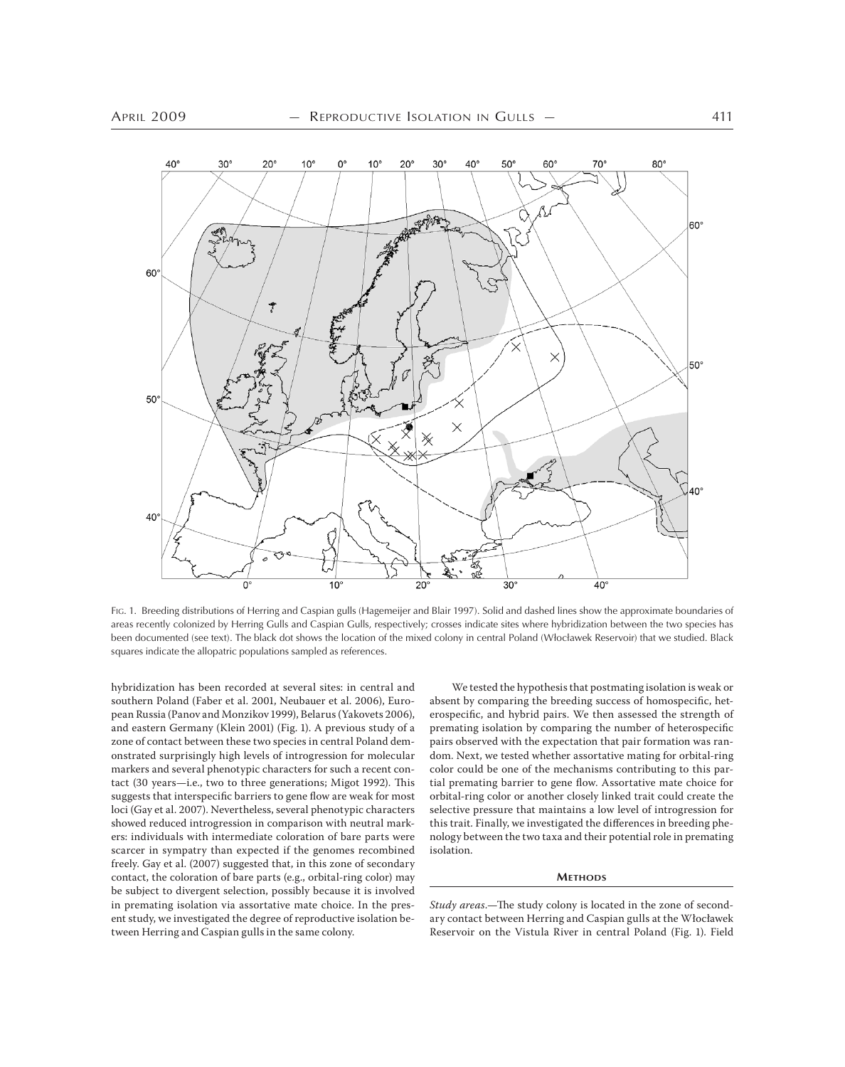

FIG. 1. Breeding distributions of Herring and Caspian gulls (Hagemeijer and Blair 1997). Solid and dashed lines show the approximate boundaries of areas recently colonized by Herring Gulls and Caspian Gulls, respectively; crosses indicate sites where hybridization between the two species has been documented (see text). The black dot shows the location of the mixed colony in central Poland (Włocławek Reservoir) that we studied. Black squares indicate the allopatric populations sampled as references.

hybridization has been recorded at several sites: in central and southern Poland (Faber et al. 2001, Neubauer et al. 2006), European Russia (Panov and Monzikov 1999), Belarus (Yakovets 2006), and eastern Germany (Klein 2001) (Fig. 1). A previous study of a zone of contact between these two species in central Poland demonstrated surprisingly high levels of introgression for molecular markers and several phenotypic characters for such a recent contact (30 years—i.e., two to three generations; Migot 1992). This suggests that interspecific barriers to gene flow are weak for most loci (Gay et al. 2007). Nevertheless, several phenotypic characters showed reduced introgression in comparison with neutral markers: individuals with intermediate coloration of bare parts were scarcer in sympatry than expected if the genomes recombined freely. Gay et al. (2007) suggested that, in this zone of secondary contact, the coloration of bare parts (e.g., orbital-ring color) may be subject to divergent selection, possibly because it is involved in premating isolation via assortative mate choice. In the present study, we investigated the degree of reproductive isolation between Herring and Caspian gulls in the same colony.

We tested the hypothesis that postmating isolation is weak or absent by comparing the breeding success of homospecific, heterospecific, and hybrid pairs. We then assessed the strength of premating isolation by comparing the number of heterospecific pairs observed with the expectation that pair formation was random. Next, we tested whether assortative mating for orbital-ring color could be one of the mechanisms contributing to this partial premating barrier to gene flow. Assortative mate choice for orbital-ring color or another closely linked trait could create the selective pressure that maintains a low level of introgression for this trait. Finally, we investigated the differences in breeding phenology between the two taxa and their potential role in premating isolation.

### **METHODS**

Study areas.—The study colony is located in the zone of secondary contact between Herring and Caspian gulls at the Włocławek Reservoir on the Vistula River in central Poland (Fig. ). Field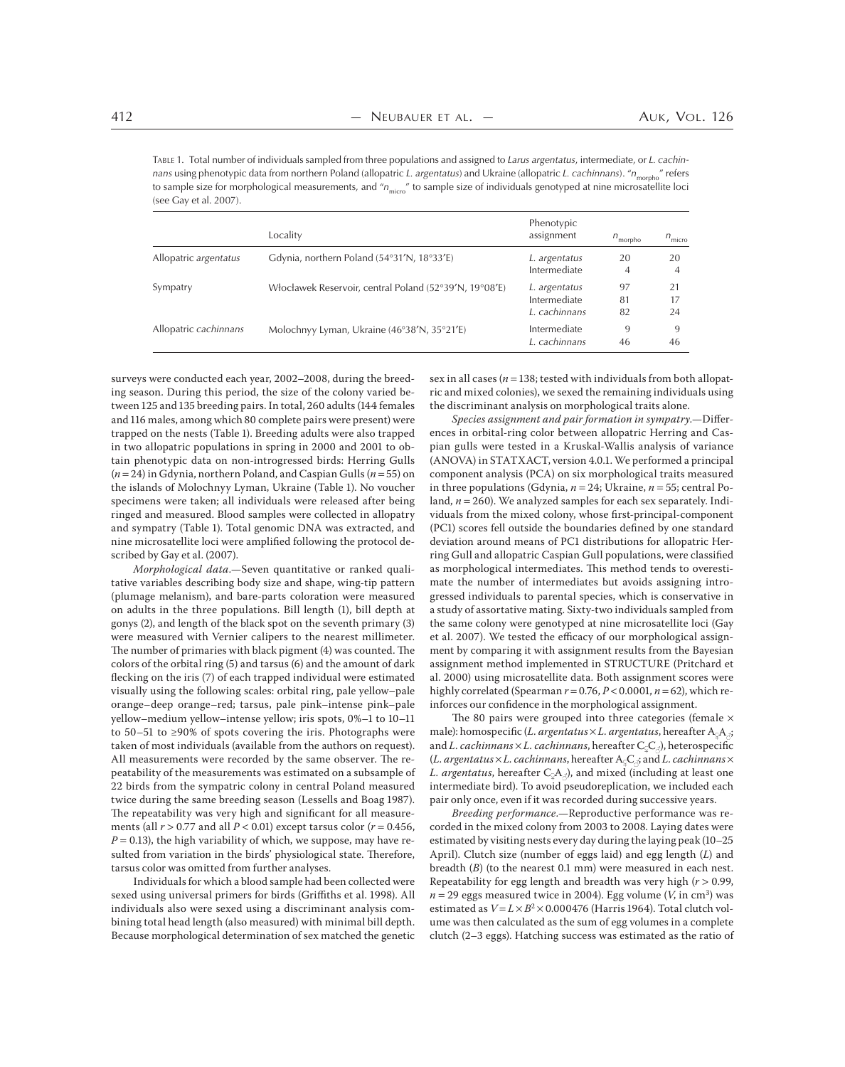TABLE 1. Total number of individuals sampled from three populations and assigned to *Larus argentatus*, intermediate, or *L. cachinnans* using phenotypic data from northern Poland (allopatric *L. argentatus*) and Ukraine (allopatric *L. cachinnans*). "*n*<sub>morpho</sub>" refers to sample size for morphological measurements, and "n<sub>micro</sub>" to sample size of individuals genotyped at nine microsatellite loci (see Gay et al. 2007).

|                              | Locality                                               | Phenotypic<br>assignment | $n_{\text{morpho}}$ | $n_{\text{micro}}$ |
|------------------------------|--------------------------------------------------------|--------------------------|---------------------|--------------------|
| Allopatric <i>argentatus</i> | Gdynia, northern Poland (54°31'N, 18°33'E)             | L. argentatus            | 20                  | 20                 |
|                              |                                                        | Intermediate             | 4                   |                    |
| Sympatry                     | Włocławek Reservoir, central Poland (52°39'N, 19°08'E) | L. argentatus            | 97                  | 21                 |
|                              |                                                        | Intermediate             | 81                  |                    |
|                              |                                                        | L. cachinnans            | 82                  | 24                 |
| Allopatric cachinnans        | Molochnyy Lyman, Ukraine (46°38'N, 35°21'E)            | Intermediate             | 9                   | Q                  |
|                              |                                                        | L. cachinnans            | 46                  | 46                 |

surveys were conducted each year, 2002-2008, during the breeding season. During this period, the size of the colony varied between 125 and 135 breeding pairs. In total, 260 adults (144 females and 116 males, among which 80 complete pairs were present) were trapped on the nests (Table ). Breeding adults were also trapped in two allopatric populations in spring in 2000 and 2001 to obtain phenotypic data on non-introgressed birds: Herring Gulls  $(n = 24)$  in Gdynia, northern Poland, and Caspian Gulls  $(n = 55)$  on the islands of Molochnyy Lyman, Ukraine (Table ). No voucher specimens were taken; all individuals were released after being ringed and measured. Blood samples were collected in allopatry and sympatry (Table ). Total genomic DNA was extracted, and nine microsatellite loci were amplified following the protocol described by Gay et al. (2007).

Morphological data.—Seven quantitative or ranked qualitative variables describing body size and shape, wing-tip pattern (plumage melanism), and bare-parts coloration were measured on adults in the three populations. Bill length (1), bill depth at gonys (2), and length of the black spot on the seventh primary (3) were measured with Vernier calipers to the nearest millimeter. The number of primaries with black pigment (4) was counted. The colors of the orbital ring  $(5)$  and tarsus  $(6)$  and the amount of dark flecking on the iris (7) of each trapped individual were estimated visually using the following scales: orbital ring, pale yellow–pale orange–deep orange–red; tarsus, pale pink–intense pink–pale yellow–medium yellow–intense yellow; iris spots, 0%-1 to 10-11 to 50-51 to  $\geq$ 90% of spots covering the iris. Photographs were taken of most individuals (available from the authors on request). All measurements were recorded by the same observer. The repeatability of the measurements was estimated on a subsample of 22 birds from the sympatric colony in central Poland measured twice during the same breeding season (Lessells and Boag 1987). The repeatability was very high and significant for all measurements (all  $r > 0.77$  and all  $P < 0.01$ ) except tarsus color ( $r = 0.456$ ,  $P = 0.13$ ), the high variability of which, we suppose, may have resulted from variation in the birds' physiological state. Therefore, tarsus color was omitted from further analyses.

Individuals for which a blood sample had been collected were sexed using universal primers for birds (Griffiths et al. 1998). All individuals also were sexed using a discriminant analysis combining total head length (also measured) with minimal bill depth. Because morphological determination of sex matched the genetic sex in all cases ( $n = 138$ ; tested with individuals from both allopatric and mixed colonies), we sexed the remaining individuals using the discriminant analysis on morphological traits alone.

Species assignment and pair formation in sympatry.—Differences in orbital-ring color between allopatric Herring and Caspian gulls were tested in a Kruskal-Wallis analysis of variance (ANOVA) in STATXACT, version 4.0.1. We performed a principal component analysis (PCA) on six morphological traits measured in three populations (Gdynia,  $n = 24$ ; Ukraine,  $n = 55$ ; central Poland,  $n = 260$ ). We analyzed samples for each sex separately. Individuals from the mixed colony, whose first-principal-component (PC) scores fell outside the boundaries defined by one standard deviation around means of PC1 distributions for allopatric Herring Gull and allopatric Caspian Gull populations, were classified as morphological intermediates. This method tends to overestimate the number of intermediates but avoids assigning introgressed individuals to parental species, which is conservative in a study of assortative mating. Sixty-two individuals sampled from the same colony were genotyped at nine microsatellite loci (Gay et al. 2007). We tested the efficacy of our morphological assignment by comparing it with assignment results from the Bayesian assignment method implemented in STRUCTURE (Pritchard et al. 2000) using microsatellite data. Both assignment scores were highly correlated (Spearman  $r = 0.76$ ,  $P < 0.0001$ ,  $n = 62$ ), which reinforces our confidence in the morphological assignment.

The 80 pairs were grouped into three categories (female  $\times$ male): homospecific (*L. argentatus* × *L. argentatus*, hereafter  $A_0A_3$ ; and L. cachinnans  $\times$  L. cachinnans, hereafter  $C_0C_{\alpha}$ ), heterospecific (*L. argentatus* × *L. cachinnans*, hereafter  $A_0C_{\beta}$ ; and *L. cachinnans* × L. argentatus, hereafter  $C_0A_{\alpha}$ ), and mixed (including at least one intermediate bird). To avoid pseudoreplication, we included each pair only once, even if it was recorded during successive years.

Breeding performance.—Reproductive performance was recorded in the mixed colony from 2003 to 2008. Laying dates were estimated by visiting nests every day during the laying peak  $(10-25)$ April). Clutch size (number of eggs laid) and egg length (L) and breadth  $(B)$  (to the nearest 0.1 mm) were measured in each nest. Repeatability for egg length and breadth was very high ( $r > 0.99$ ,  $n = 29$  eggs measured twice in 2004). Egg volume (V, in cm<sup>3</sup>) was estimated as  $V = L \times B^2 \times 0.000476$  (Harris 1964). Total clutch volume was then calculated as the sum of egg volumes in a complete clutch  $(2-3$  eggs). Hatching success was estimated as the ratio of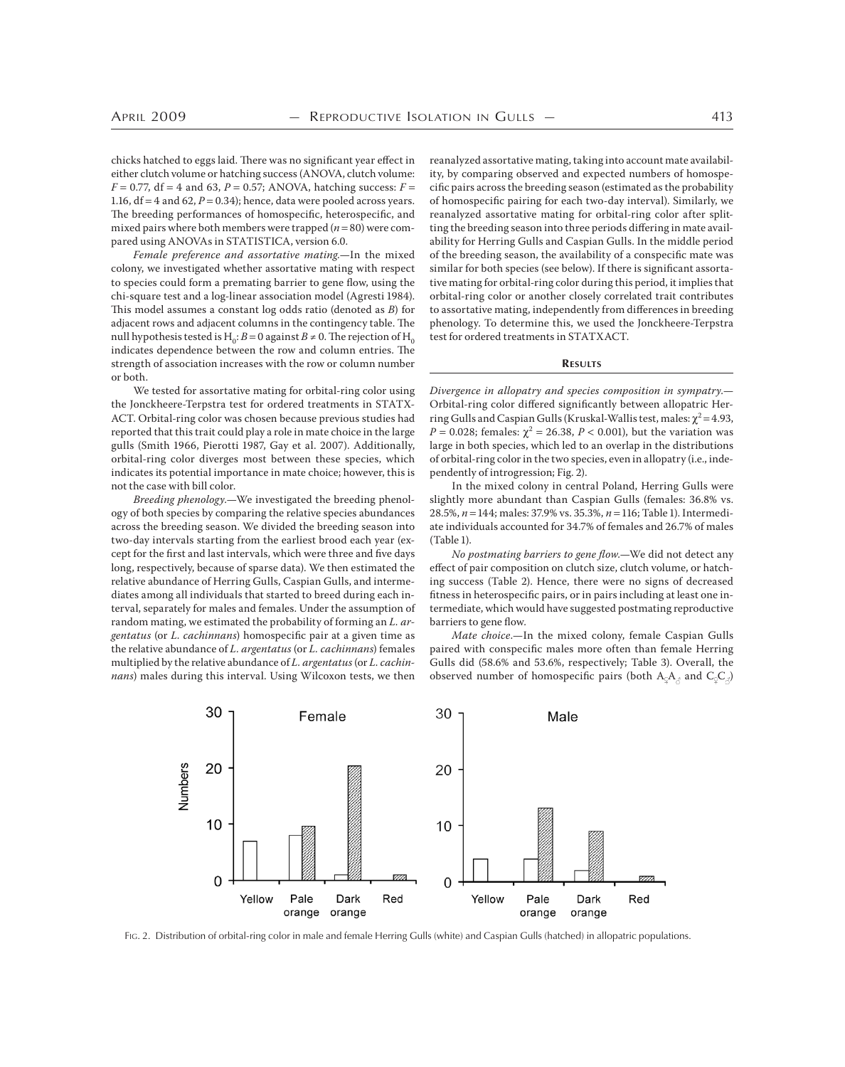chicks hatched to eggs laid. There was no significant year effect in either clutch volume or hatching success (ANOVA, clutch volume:  $F = 0.77$ , df = 4 and 63, P = 0.57; ANOVA, hatching success: F = 1.16,  $df = 4$  and 62,  $P = 0.34$ ); hence, data were pooled across years. The breeding performances of homospecific, heterospecific, and mixed pairs where both members were trapped ( $n = 80$ ) were compared using ANOVAs in STATISTICA, version 6.0.

Female preference and assortative mating.—In the mixed colony, we investigated whether assortative mating with respect to species could form a premating barrier to gene flow, using the chi-square test and a log-linear association model (Agresti 1984). This model assumes a constant log odds ratio (denoted as B) for adjacent rows and adjacent columns in the contingency table. The null hypothesis tested is H<sub>0</sub>:  $B = 0$  against  $B \neq 0$ . The rejection of H<sub>0</sub> indicates dependence between the row and column entries. The strength of association increases with the row or column number or both.

We tested for assortative mating for orbital-ring color using the Jonckheere-Terpstra test for ordered treatments in STATX-ACT. Orbital-ring color was chosen because previous studies had reported that this trait could play a role in mate choice in the large gulls (Smith 1966, Pierotti 1987, Gay et al. 2007). Additionally, orbital-ring color diverges most between these species, which indicates its potential importance in mate choice; however, this is not the case with bill color.

Breeding phenology.—We investigated the breeding phenology of both species by comparing the relative species abundances across the breeding season. We divided the breeding season into two-day intervals starting from the earliest brood each year (except for the first and last intervals, which were three and five days long, respectively, because of sparse data). We then estimated the relative abundance of Herring Gulls, Caspian Gulls, and intermediates among all individuals that started to breed during each interval, separately for males and females. Under the assumption of random mating, we estimated the probability of forming an L. argentatus (or L. cachinnans) homospecific pair at a given time as the relative abundance of L. argentatus (or L. cachinnans) females multiplied by the relative abundance of L. argentatus (or L. cachinnans) males during this interval. Using Wilcoxon tests, we then

reanalyzed assortative mating, taking into account mate availability, by comparing observed and expected numbers of homospecific pairs across the breeding season (estimated as the probability of homospecific pairing for each two-day interval). Similarly, we reanalyzed assortative mating for orbital-ring color after splitting the breeding season into three periods differing in mate availability for Herring Gulls and Caspian Gulls. In the middle period of the breeding season, the availability of a conspecific mate was similar for both species (see below). If there is significant assortative mating for orbital-ring color during this period, it implies that orbital-ring color or another closely correlated trait contributes to assortative mating, independently from differences in breeding phenology. To determine this, we used the Jonckheere-Terpstra test for ordered treatments in STATXACT.

### **RESULTS**

Divergence in allopatry and species composition in sympatry.— Orbital-ring color differed significantly between allopatric Herring Gulls and Caspian Gulls (Kruskal-Wallis test, males:  $\chi^2$  = 4.93,  $P = 0.028$ ; females:  $\chi^2 = 26.38$ ,  $P < 0.001$ ), but the variation was large in both species, which led to an overlap in the distributions of orbital-ring color in the two species, even in allopatry (i.e., independently of introgression; Fig. 2).

In the mixed colony in central Poland, Herring Gulls were slightly more abundant than Caspian Gulls (females: 36.8% vs. 28.5%,  $n = 144$ ; males: 37.9% vs. 35.3%,  $n = 116$ ; Table 1). Intermediate individuals accounted for 34.7% of females and 26.7% of males (Table ).

No postmating barriers to gene flow.—We did not detect any effect of pair composition on clutch size, clutch volume, or hatching success (Table 2). Hence, there were no signs of decreased fitness in heterospecific pairs, or in pairs including at least one intermediate, which would have suggested postmating reproductive barriers to gene flow.

Mate choice.—In the mixed colony, female Caspian Gulls paired with conspecific males more often than female Herring Gulls did (58.6% and 53.6%, respectively; Table 3). Overall, the observed number of homospecific pairs (both  $A_2A_\beta$  and  $C_2C_\beta$ )



FIG. 2. Distribution of orbital-ring color in male and female Herring Gulls (white) and Caspian Gulls (hatched) in allopatric populations.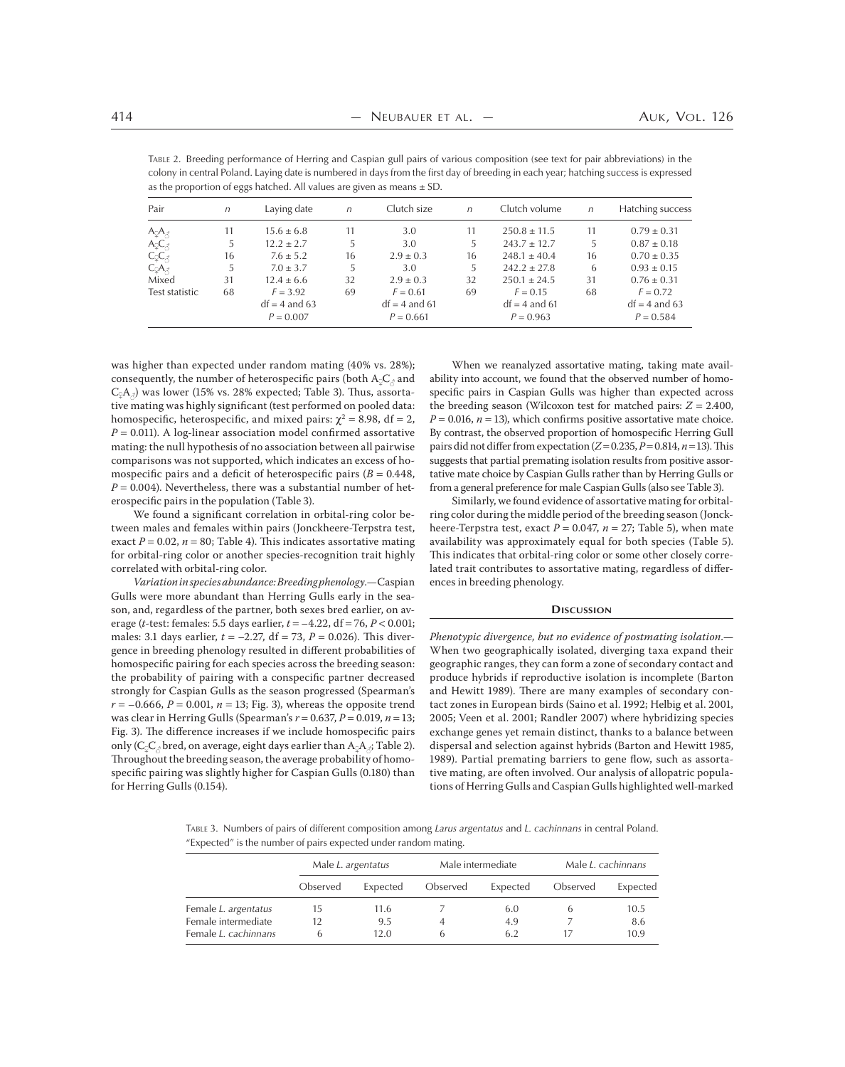| Pair                             | n  | Laying date                    | n  | Clutch size                    | n  | Clutch volume                  | $\sqrt{n}$ | Hatching success               |
|----------------------------------|----|--------------------------------|----|--------------------------------|----|--------------------------------|------------|--------------------------------|
| $A_{\mathcal{Q}}A_{\mathcal{A}}$ | 11 | $15.6 \pm 6.8$                 | 11 | 3.0                            | 11 | $250.8 \pm 11.5$               | 11         | $0.79 \pm 0.31$                |
| $A_2C_{\hat{C}}$                 | 5. | $12.2 \pm 2.7$                 | 5  | 3.0                            | 5  | $243.7 \pm 12.7$               |            | $0.87 \pm 0.18$                |
| $C_2C_3$                         | 16 | $7.6 \pm 5.2$                  | 16 | $2.9 \pm 0.3$                  | 16 | $248.1 \pm 40.4$               | 16         | $0.70 \pm 0.35$                |
| $C_9A_8$                         | 5. | $7.0 \pm 3.7$                  | 5  | 3.0                            | 5  | $242.2 \pm 27.8$               | 6          | $0.93 \pm 0.15$                |
| Mixed                            | 31 | $12.4 \pm 6.6$                 | 32 | $2.9 \pm 0.3$                  | 32 | $250.1 \pm 24.5$               | 31         | $0.76 \pm 0.31$                |
| Test statistic                   | 68 | $F = 3.92$                     | 69 | $F = 0.61$                     | 69 | $F = 0.15$                     | 68         | $F = 0.72$                     |
|                                  |    | $df = 4$ and 63<br>$P = 0.007$ |    | $df = 4$ and 61<br>$P = 0.661$ |    | $df = 4$ and 61<br>$P = 0.963$ |            | $df = 4$ and 63<br>$P = 0.584$ |

TABLE 2. Breeding performance of Herring and Caspian gull pairs of various composition (see text for pair abbreviations) in the colony in central Poland. Laying date is numbered in days from the first day of breeding in each year; hatching success is expressed as the proportion of eggs hatched. All values are given as means  $\pm$  SD.

was higher than expected under random mating (40% vs. 28%); consequently, the number of heterospecific pairs (both  $A_0C_A$  and  $C_2A_{\alpha}$ ) was lower (15% vs. 28% expected; Table 3). Thus, assortative mating was highly significant (test performed on pooled data: homospecific, heterospecific, and mixed pairs:  $\chi^2$  = 8.98, df = 2,  $P = 0.011$ ). A log-linear association model confirmed assortative mating: the null hypothesis of no association between all pairwise comparisons was not supported, which indicates an excess of homospecific pairs and a deficit of heterospecific pairs ( $B = 0.448$ ,  $P = 0.004$ ). Nevertheless, there was a substantial number of heterospecific pairs in the population (Table 3).

We found a significant correlation in orbital-ring color between males and females within pairs (Jonckheere-Terpstra test, exact  $P = 0.02$ ,  $n = 80$ ; Table 4). This indicates assortative mating for orbital-ring color or another species-recognition trait highly correlated with orbital-ring color.

Variation in species abundance: Breeding phenology.—Caspian Gulls were more abundant than Herring Gulls early in the season, and, regardless of the partner, both sexes bred earlier, on average (*t*-test: females: 5.5 days earlier,  $t = -4.22$ , df = 76,  $P < 0.001$ ; males: 3.1 days earlier,  $t = -2.27$ , df = 73,  $P = 0.026$ ). This divergence in breeding phenology resulted in different probabilities of homospecific pairing for each species across the breeding season: the probability of pairing with a conspecific partner decreased strongly for Caspian Gulls as the season progressed (Spearman's  $r = -0.666$ ,  $P = 0.001$ ,  $n = 13$ ; Fig. 3), whereas the opposite trend was clear in Herring Gulls (Spearman's  $r = 0.637$ ,  $P = 0.019$ ,  $n = 13$ ; Fig. 3). The difference increases if we include homospecific pairs only ( $C_1C_{\sigma}$  bred, on average, eight days earlier than  $A_1A_{\sigma}A_{\sigma}$ ; Table 2). Throughout the breeding season, the average probability of homospecific pairing was slightly higher for Caspian Gulls (0.180) than for Herring Gulls (0.154).

When we reanalyzed assortative mating, taking mate availability into account, we found that the observed number of homospecific pairs in Caspian Gulls was higher than expected across the breeding season (Wilcoxon test for matched pairs:  $Z = 2.400$ ,  $P = 0.016$ ,  $n = 13$ ), which confirms positive assortative mate choice. By contrast, the observed proportion of homospecific Herring Gull pairs did not differ from expectation  $(Z = 0.235, P = 0.814, n = 13)$ . This suggests that partial premating isolation results from positive assortative mate choice by Caspian Gulls rather than by Herring Gulls or from a general preference for male Caspian Gulls (also see Table ).

Similarly, we found evidence of assortative mating for orbitalring color during the middle period of the breeding season (Jonckheere-Terpstra test, exact  $P = 0.047$ ,  $n = 27$ ; Table 5), when mate availability was approximately equal for both species (Table 5). This indicates that orbital-ring color or some other closely correlated trait contributes to assortative mating, regardless of differences in breeding phenology.

#### **DISCUSSION**

Phenotypic divergence, but no evidence of postmating isolation.— When two geographically isolated, diverging taxa expand their geographic ranges, they can form a zone of secondary contact and produce hybrids if reproductive isolation is incomplete (Barton and Hewitt 1989). There are many examples of secondary contact zones in European birds (Saino et al. 1992; Helbig et al. 2001, 2005; Veen et al. 2001; Randler 2007) where hybridizing species exchange genes yet remain distinct, thanks to a balance between dispersal and selection against hybrids (Barton and Hewitt 1985, 1989). Partial premating barriers to gene flow, such as assortative mating, are often involved. Our analysis of allopatric populations of Herring Gulls and Caspian Gulls highlighted well-marked

TABLE 3. Numbers of pairs of different composition among *Larus argentatus* and *L. cachinnans* in central Poland. "Expected" is the number of pairs expected under random mating.

|                                             | Male L. argentatus |             | Male intermediate |            | Male L. cachinnans |             |
|---------------------------------------------|--------------------|-------------|-------------------|------------|--------------------|-------------|
|                                             | Observed           | Expected    | Observed          | Expected   | Observed           | Expected    |
| Female L. argentatus                        | ТÞ                 | 11.6        |                   | 6.0        |                    | 10.5        |
| Female intermediate<br>Female L. cachinnans |                    | 9.5<br>12.0 | 4                 | 4.9<br>6.2 |                    | 8.6<br>10.9 |
|                                             |                    |             |                   |            |                    |             |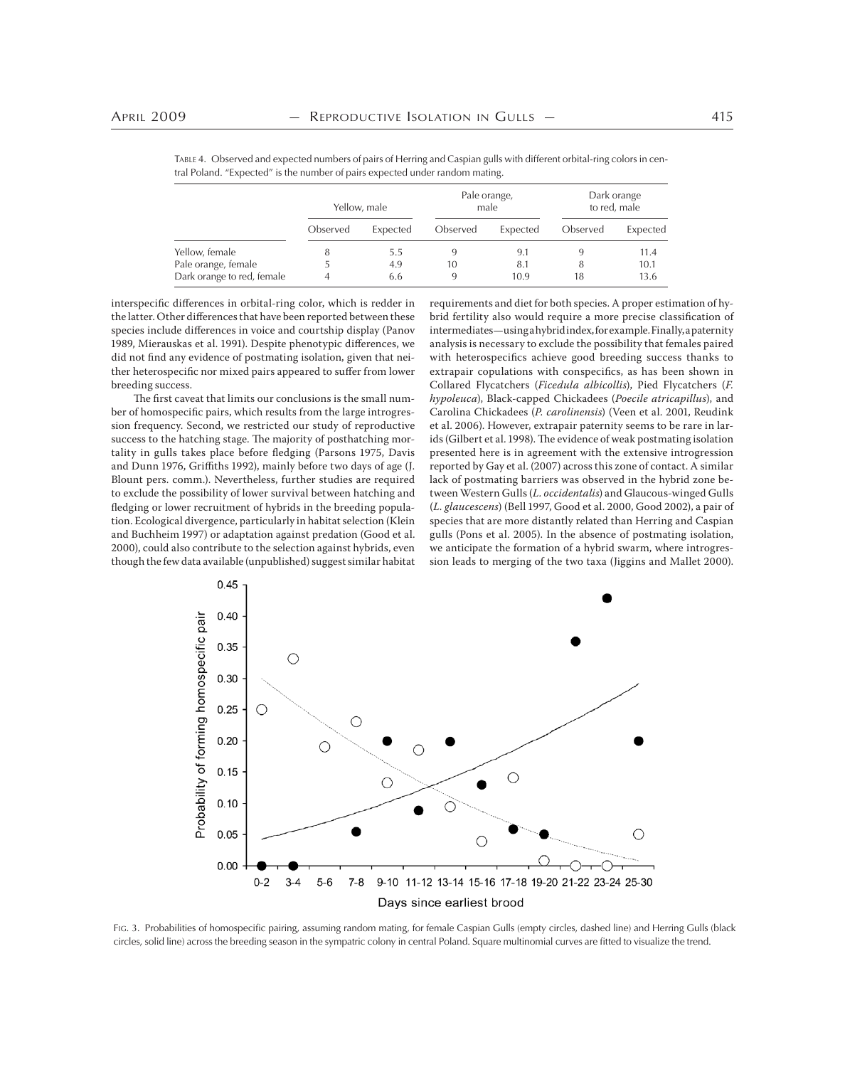| that I bidded. Expected to the harmoor or pairs expected ander random matrix. |              |          |                      |          |                             |          |
|-------------------------------------------------------------------------------|--------------|----------|----------------------|----------|-----------------------------|----------|
|                                                                               | Yellow, male |          | Pale orange,<br>male |          | Dark orange<br>to red, male |          |
|                                                                               | Observed     | Expected | Observed             | Expected | Observed                    | Expected |
| Yellow, female                                                                |              | 5.5      |                      | 9.1      |                             | 11.4     |
| Pale orange, female                                                           |              | 4.9      | 10                   | 8.1      | 8                           | 10.1     |
| Dark orange to red, female                                                    |              | 6.6      | 9                    | 10.9     | 18                          | 13.6     |

TABLE 4. Observed and expected numbers of pairs of Herring and Caspian gulls with different orbital-ring colors in central Poland. "Expected" is the number of pairs expected under random mating.

interspecific differences in orbital-ring color, which is redder in the latter. Other differences that have been reported between these species include differences in voice and courtship display (Panov 1989, Mierauskas et al. 1991). Despite phenotypic differences, we did not find any evidence of postmating isolation, given that neither heterospecific nor mixed pairs appeared to suffer from lower breeding success.

The first caveat that limits our conclusions is the small number of homospecific pairs, which results from the large introgression frequency. Second, we restricted our study of reproductive success to the hatching stage. The majority of posthatching mortality in gulls takes place before fledging (Parsons 1975, Davis and Dunn 1976, Griffiths 1992), mainly before two days of age (J. Blount pers. comm.). Nevertheless, further studies are required to exclude the possibility of lower survival between hatching and fledging or lower recruitment of hybrids in the breeding population. Ecological divergence, particularly in habitat selection (Klein and Buchheim 1997) or adaptation against predation (Good et al. ), could also contribute to the selection against hybrids, even though the few data available (unpublished) suggest similar habitat requirements and diet for both species. A proper estimation of hybrid fertility also would require a more precise classification of intermediates—using a hybrid index, for example. Finally, a paternity analysis is necessary to exclude the possibility that females paired with heterospecifics achieve good breeding success thanks to extrapair copulations with conspecifics, as has been shown in Collared Flycatchers (Ficedula albicollis), Pied Flycatchers (F. hypoleuca), Black-capped Chickadees (Poecile atricapillus), and Carolina Chickadees (P. carolinensis) (Veen et al. 2001, Reudink et al. 2006). However, extrapair paternity seems to be rare in larids (Gilbert et al. 1998). The evidence of weak postmating isolation presented here is in agreement with the extensive introgression reported by Gay et al. (2007) across this zone of contact. A similar lack of postmating barriers was observed in the hybrid zone between Western Gulls (L. occidentalis) and Glaucous-winged Gulls  $(L. \;glaucescens)$  (Bell 1997, Good et al. 2000, Good 2002), a pair of species that are more distantly related than Herring and Caspian gulls (Pons et al. 2005). In the absence of postmating isolation, we anticipate the formation of a hybrid swarm, where introgression leads to merging of the two taxa (Jiggins and Mallet 2000).



FIG. 3. Probabilities of homospecific pairing, assuming random mating, for female Caspian Gulls (empty circles, dashed line) and Herring Gulls (black circles, solid line) across the breeding season in the sympatric colony in central Poland. Square multinomial curves are fitted to visualize the trend.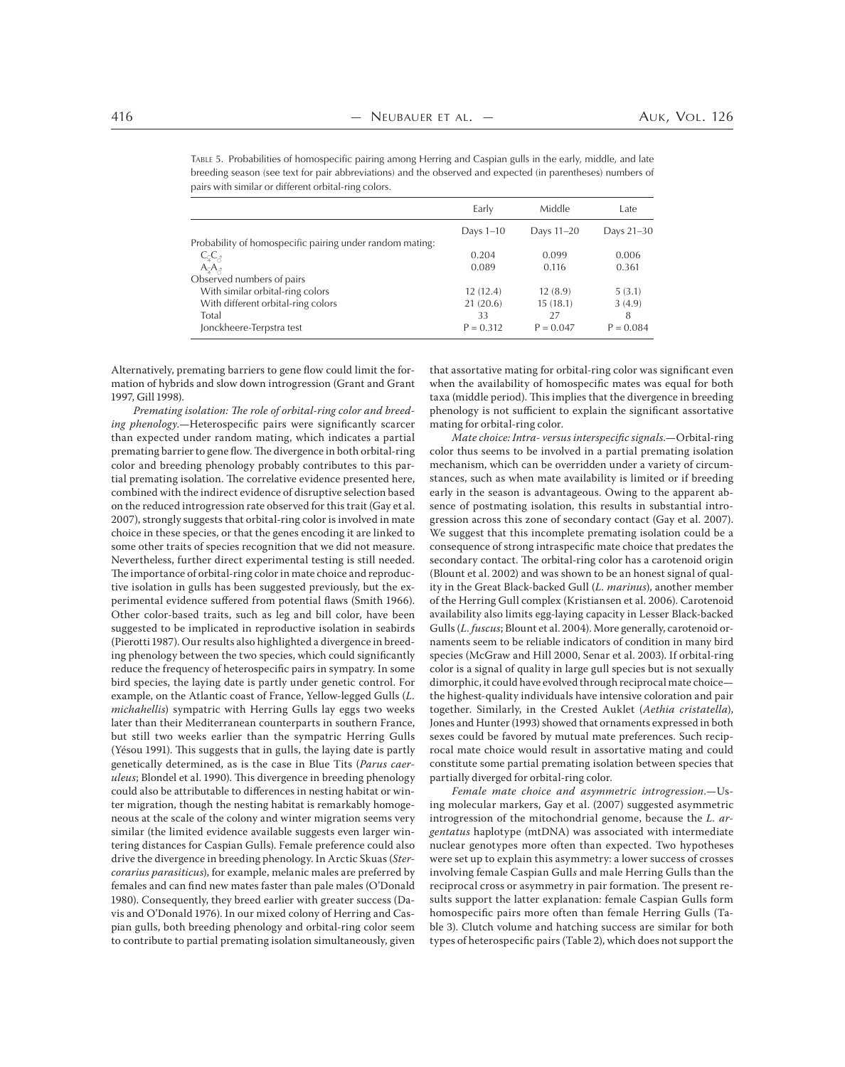|                                                          | Early       | Middle      | Late        |
|----------------------------------------------------------|-------------|-------------|-------------|
|                                                          | Days $1-10$ | Days 11-20  | Days 21-30  |
| Probability of homospecific pairing under random mating: |             |             |             |
| $C_0C_{\mathcal{A}}$                                     | 0.204       | 0.099       | 0.006       |
| $A_0A_{\mathcal{A}}$                                     | 0.089       | 0.116       | 0.361       |
| Observed numbers of pairs                                |             |             |             |
| With similar orbital-ring colors                         | 12(12.4)    | 12(8.9)     | 5(3.1)      |
| With different orbital-ring colors                       | 21(20.6)    | 15(18.1)    | 3(4.9)      |
| Total                                                    | 33          | 27          | 8           |
| Jonckheere-Terpstra test                                 | $P = 0.312$ | $P = 0.047$ | $P = 0.084$ |
|                                                          |             |             |             |

TABLE 5. Probabilities of homospecific pairing among Herring and Caspian gulls in the early, middle, and late breeding season (see text for pair abbreviations) and the observed and expected (in parentheses) numbers of pairs with similar or different orbital-ring colors.

Alternatively, premating barriers to gene flow could limit the formation of hybrids and slow down introgression (Grant and Grant 1997, Gill 1998).

Premating isolation: The role of orbital-ring color and breeding phenology.—Heterospecific pairs were significantly scarcer than expected under random mating, which indicates a partial premating barrier to gene flow. The divergence in both orbital-ring color and breeding phenology probably contributes to this partial premating isolation. The correlative evidence presented here, combined with the indirect evidence of disruptive selection based on the reduced introgression rate observed for this trait (Gay et al. ), strongly suggests that orbital-ring color is involved in mate choice in these species, or that the genes encoding it are linked to some other traits of species recognition that we did not measure. Nevertheless, further direct experimental testing is still needed. The importance of orbital-ring color in mate choice and reproductive isolation in gulls has been suggested previously, but the experimental evidence suffered from potential flaws (Smith 1966). Other color-based traits, such as leg and bill color, have been suggested to be implicated in reproductive isolation in seabirds (Pierotti 1987). Our results also highlighted a divergence in breeding phenology between the two species, which could significantly reduce the frequency of heterospecific pairs in sympatry. In some bird species, the laying date is partly under genetic control. For example, on the Atlantic coast of France, Yellow-legged Gulls (L. michahellis) sympatric with Herring Gulls lay eggs two weeks later than their Mediterranean counterparts in southern France, but still two weeks earlier than the sympatric Herring Gulls (Yésou 1991). This suggests that in gulls, the laying date is partly genetically determined, as is the case in Blue Tits (Parus caeruleus; Blondel et al. 1990). This divergence in breeding phenology could also be attributable to differences in nesting habitat or winter migration, though the nesting habitat is remarkably homogeneous at the scale of the colony and winter migration seems very similar (the limited evidence available suggests even larger wintering distances for Caspian Gulls). Female preference could also drive the divergence in breeding phenology. In Arctic Skuas (Stercorarius parasiticus), for example, melanic males are preferred by females and can find new mates faster than pale males (O'Donald ). Consequently, they breed earlier with greater success (Davis and O'Donald 1976). In our mixed colony of Herring and Caspian gulls, both breeding phenology and orbital-ring color seem to contribute to partial premating isolation simultaneously, given

that assortative mating for orbital-ring color was significant even when the availability of homospecific mates was equal for both taxa (middle period). This implies that the divergence in breeding phenology is not sufficient to explain the significant assortative mating for orbital-ring color.

Mate choice: Intra- versus interspecific signals.—Orbital-ring color thus seems to be involved in a partial premating isolation mechanism, which can be overridden under a variety of circumstances, such as when mate availability is limited or if breeding early in the season is advantageous. Owing to the apparent absence of postmating isolation, this results in substantial introgression across this zone of secondary contact (Gay et al. 2007). We suggest that this incomplete premating isolation could be a consequence of strong intraspecific mate choice that predates the secondary contact. The orbital-ring color has a carotenoid origin (Blount et al.  $2002$ ) and was shown to be an honest signal of quality in the Great Black-backed Gull (L. marinus), another member of the Herring Gull complex (Kristiansen et al. 2006). Carotenoid availability also limits egg-laying capacity in Lesser Black-backed Gulls (L. fuscus; Blount et al. 2004). More generally, carotenoid ornaments seem to be reliable indicators of condition in many bird species (McGraw and Hill 2000, Senar et al. 2003). If orbital-ring color is a signal of quality in large gull species but is not sexually dimorphic, it could have evolved through reciprocal mate choice the highest-quality individuals have intensive coloration and pair together. Similarly, in the Crested Auklet (Aethia cristatella), Jones and Hunter (1993) showed that ornaments expressed in both sexes could be favored by mutual mate preferences. Such reciprocal mate choice would result in assortative mating and could constitute some partial premating isolation between species that partially diverged for orbital-ring color.

Female mate choice and asymmetric introgression.—Using molecular markers, Gay et al. (2007) suggested asymmetric introgression of the mitochondrial genome, because the L. argentatus haplotype (mtDNA) was associated with intermediate nuclear genotypes more often than expected. Two hypotheses were set up to explain this asymmetry: a lower success of crosses involving female Caspian Gulls and male Herring Gulls than the reciprocal cross or asymmetry in pair formation. The present results support the latter explanation: female Caspian Gulls form homospecific pairs more often than female Herring Gulls (Table 3). Clutch volume and hatching success are similar for both types of heterospecific pairs (Table 2), which does not support the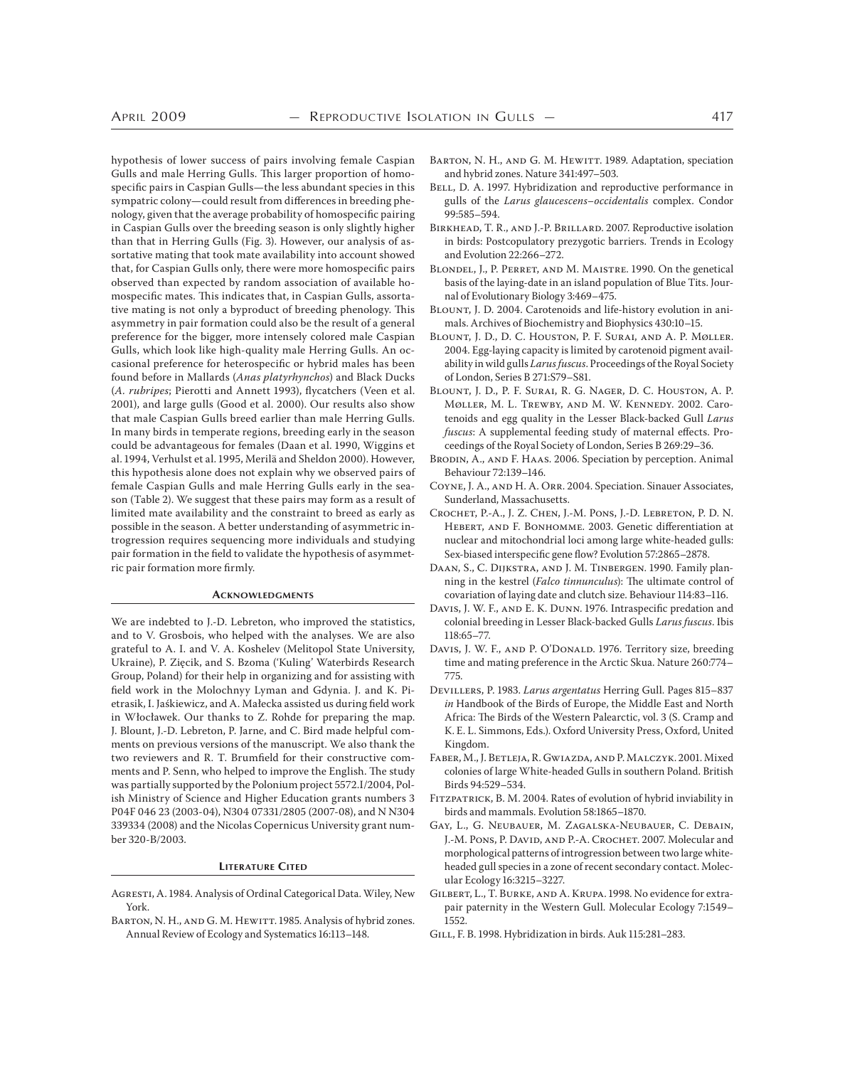hypothesis of lower success of pairs involving female Caspian Gulls and male Herring Gulls. This larger proportion of homospecific pairs in Caspian Gulls—the less abundant species in this sympatric colony—could result from differences in breeding phenology, given that the average probability of homospecific pairing in Caspian Gulls over the breeding season is only slightly higher than that in Herring Gulls (Fig. 3). However, our analysis of assortative mating that took mate availability into account showed that, for Caspian Gulls only, there were more homospecific pairs observed than expected by random association of available homospecific mates. This indicates that, in Caspian Gulls, assortative mating is not only a byproduct of breeding phenology. This asymmetry in pair formation could also be the result of a general preference for the bigger, more intensely colored male Caspian Gulls, which look like high-quality male Herring Gulls. An occasional preference for heterospecific or hybrid males has been found before in Mallards (Anas platyrhynchos) and Black Ducks (A. rubripes; Pierotti and Annett 1993), flycatchers (Veen et al. 2001), and large gulls (Good et al. 2000). Our results also show that male Caspian Gulls breed earlier than male Herring Gulls. In many birds in temperate regions, breeding early in the season could be advantageous for females (Daan et al. 1990, Wiggins et al. 1994, Verhulst et al. 1995, Merilä and Sheldon 2000). However, this hypothesis alone does not explain why we observed pairs of female Caspian Gulls and male Herring Gulls early in the season (Table 2). We suggest that these pairs may form as a result of limited mate availability and the constraint to breed as early as possible in the season. A better understanding of asymmetric introgression requires sequencing more individuals and studying pair formation in the field to validate the hypothesis of asymmetric pair formation more firmly.

#### **ACKNOWLEDGMENTS**

We are indebted to J.-D. Lebreton, who improved the statistics, and to V. Grosbois, who helped with the analyses. We are also grateful to A. I. and V. A. Koshelev (Melitopol State University, Ukraine), P. Zięcik, and S. Bzoma ('Kuling' Waterbirds Research Group, Poland) for their help in organizing and for assisting with field work in the Molochnyy Lyman and Gdynia. J. and K. Pietrasik, I. Jaśkiewicz, and A. Małecka assisted us during field work in Włocławek. Our thanks to Z. Rohde for preparing the map. J. Blount, J.-D. Lebreton, P. Jarne, and C. Bird made helpful comments on previous versions of the manuscript. We also thank the two reviewers and R. T. Brumfield for their constructive comments and P. Senn, who helped to improve the English. The study was partially supported by the Polonium project 5572.I/2004, Polish Ministry of Science and Higher Education grants numbers P04F 046 23 (2003-04), N 304 07331/2805 (2007-08), and N N 304 339334 (2008) and the Nicolas Copernicus University grant number 320-B/2003.

#### **LITERATURE CITED**

- AGRESTI, A. 1984. Analysis of Ordinal Categorical Data. Wiley, New York.
- BARTON, N. H., AND G. M. HEWITT. 1985. Analysis of hybrid zones. Annual Review of Ecology and Systematics 16:113-148.
- BARTON, N. H., AND G. M. HEWITT. 1989. Adaptation, speciation and hybrid zones. Nature 341:497-503.
- BELL, D. A. 1997. Hybridization and reproductive performance in gulls of the Larus glaucescens–occidentalis complex. Condor 99:585-594.
- BIRKHEAD, T. R., AND J.-P. BRILLARD. 2007. Reproductive isolation in birds: Postcopulatory prezygotic barriers. Trends in Ecology and Evolution 22:266-272.
- BLONDEL, J., P. PERRET, AND M. MAISTRE. 1990. On the genetical basis of the laying-date in an island population of Blue Tits. Journal of Evolutionary Biology 3:469-475.
- BLOUNT, J. D. 2004. Carotenoids and life-history evolution in animals. Archives of Biochemistry and Biophysics 430:10-15.
- Blount, J. D., D. C. Houston, P. F. Surai, and A. P. Møller. . Egg-laying capacity is limited by carotenoid pigment availability in wild gulls Larus fuscus. Proceedings of the Royal Society of London, Series B 271:S79-S81.
- Blount, J. D., P. F. Surai, R. G. Nager, D. C. Houston, A. P. Møller, M. L. Trewby, and M. W. Kennedy. 2002. Carotenoids and egg quality in the Lesser Black-backed Gull Larus fuscus: A supplemental feeding study of maternal effects. Proceedings of the Royal Society of London, Series B 269:29-36.
- BRODIN, A., AND F. HAAS. 2006. Speciation by perception. Animal Behaviour 72:139-146.
- COYNE, J. A., AND H. A. ORR. 2004. Speciation. Sinauer Associates, Sunderland, Massachusetts.
- Crochet, P.-A., J. Z. Chen, J.-M. Pons, J.-D. Lebreton, P. D. N. HEBERT, AND F. BONHOMME. 2003. Genetic differentiation at nuclear and mitochondrial loci among large white-headed gulls: Sex-biased interspecific gene flow? Evolution 57:2865-2878.
- DAAN, S., C. DIJKSTRA, AND J. M. TINBERGEN. 1990. Family planning in the kestrel (Falco tinnunculus): The ultimate control of covariation of laying date and clutch size. Behaviour 114:83-116.
- DAVIS, J. W. F., AND E. K. DUNN. 1976. Intraspecific predation and colonial breeding in Lesser Black-backed Gulls Larus fuscus. Ibis 118:65-77.
- Davis, J. W. F., AND P. O'DONALD. 1976. Territory size, breeding time and mating preference in the Arctic Skua. Nature 260:774-775.
- DEVILLERS, P. 1983. Larus argentatus Herring Gull. Pages 815-837 in Handbook of the Birds of Europe, the Middle East and North Africa: The Birds of the Western Palearctic, vol. 3 (S. Cramp and K. E. L. Simmons, Eds.). Oxford University Press, Oxford, United Kingdom.
- FABER, M., J. BETLEJA, R. GWIAZDA, AND P. MALCZYK. 2001. Mixed colonies of large White-headed Gulls in southern Poland. British Birds 94:529-534.
- FITZPATRICK, B. M. 2004. Rates of evolution of hybrid inviability in birds and mammals. Evolution 58:1865-1870.
- Gay, L., G. Neubauer, M. Zagalska-Neubauer, C. Debain, J.-M. PONS, P. DAVID, AND P.-A. CROCHET. 2007. Molecular and morphological patterns of introgression between two large whiteheaded gull species in a zone of recent secondary contact. Molecular Ecology 16:3215-3227.
- GILBERT, L., T. BURKE, AND A. KRUPA. 1998. No evidence for extrapair paternity in the Western Gull. Molecular Ecology 7:1549– 1552.
- GILL, F. B. 1998. Hybridization in birds. Auk 115:281-283.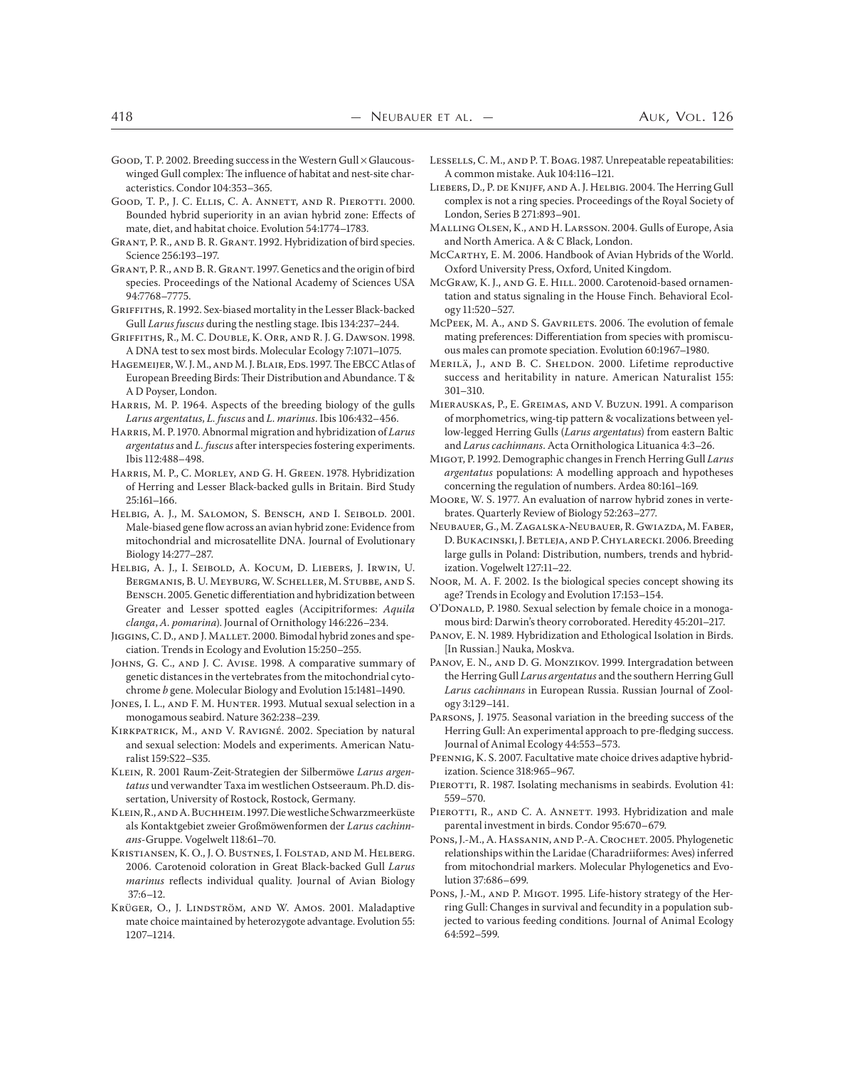- GOOD, T. P. 2002. Breeding success in the Western Gull  $\times$  Glaucouswinged Gull complex: The influence of habitat and nest-site characteristics. Condor 104:353-365.
- GOOD, T. P., J. C. ELLIS, C. A. ANNETT, AND R. PIEROTTI. 2000. Bounded hybrid superiority in an avian hybrid zone: Effects of mate, diet, and habitat choice. Evolution 54:1774-1783.
- GRANT, P. R., AND B. R. GRANT. 1992. Hybridization of bird species. Science 256:193-197.
- GRANT, P. R., AND B. R. GRANT. 1997. Genetics and the origin of bird species. Proceedings of the National Academy of Sciences USA 94:7768-7775.
- GRIFFITHS, R. 1992. Sex-biased mortality in the Lesser Black-backed Gull Larus fuscus during the nestling stage. Ibis 134:237-244.
- GRIFFITHS, R., M. C. DOUBLE, K. ORR, AND R. J. G. DAWSON. 1998. A DNA test to sex most birds. Molecular Ecology 7:1071-1075.
- HAGEMEIJER, W.J. M., AND M.J. BLAIR, EDS. 1997. The EBCC Atlas of European Breeding Birds: Their Distribution and Abundance. T & A D Poyser, London.
- HARRIS, M. P. 1964. Aspects of the breeding biology of the gulls Larus argentatus, L. fuscus and L. marinus. Ibis  $106:432-456$ .
- HARRIS, M. P. 1970. Abnormal migration and hybridization of Larus argentatus and L. fuscus after interspecies fostering experiments. Ibis 112:488-498.
- HARRIS, M. P., C. MORLEY, AND G. H. GREEN. 1978. Hybridization of Herring and Lesser Black-backed gulls in Britain. Bird Study 25:161-166.
- Helbig, A. J., M. Salomon, S. Bensch, and I. Seibold. 2001. Male-biased gene flow across an avian hybrid zone: Evidence from mitochondrial and microsatellite DNA. Journal of Evolutionary Biology 14:277-287.
- Helbig, A. J., I. Seibold, A. Kocum, D. Liebers, J. Irwin, U. Bergmanis, B. U. Meyburg, W. Scheller, M. Stubbe, and S. BENSCH. 2005. Genetic differentiation and hybridization between Greater and Lesser spotted eagles (Accipitriformes: Aquila  $clanga, A. pomaria$ ). Journal of Ornithology 146:226-234.
- JIGGINS, C. D., AND J. MALLET. 2000. Bimodal hybrid zones and speciation. Trends in Ecology and Evolution 15:250-255.
- JOHNS, G. C., AND J. C. AVISE. 1998. A comparative summary of genetic distances in the vertebrates from the mitochondrial cytochrome  $b$  gene. Molecular Biology and Evolution  $15:1481-1490$ .
- JONES, I. L., AND F. M. HUNTER. 1993. Mutual sexual selection in a monogamous seabird. Nature 362:238-239.
- KIRKPATRICK, M., AND V. RAVIGNÉ. 2002. Speciation by natural and sexual selection: Models and experiments. American Naturalist 159:S22-S35.
- KLEIN, R. 2001 Raum-Zeit-Strategien der Silbermöwe Larus argentatus und verwandter Taxa im westlichen Ostseeraum. Ph.D. dissertation, University of Rostock, Rostock, Germany.
- KLEIN, R., AND A. BUCHHEIM. 1997. Die westliche Schwarzmeerküste als Kontaktgebiet zweier Großmöwenformen der Larus cachinnans-Gruppe. Vogelwelt 118:61-70.
- Kristiansen, K. O., J. O. Bustnes, I. Folstad, and M. Helberg. 2006. Carotenoid coloration in Great Black-backed Gull Larus marinus reflects individual quality. Journal of Avian Biology  $37.6 - 12$
- KRÜGER, O., J. LINDSTRÖM, AND W. AMOS. 2001. Maladaptive mate choice maintained by heterozygote advantage. Evolution 55: 1207-1214.
- LESSELLS, C. M., AND P. T. BOAG. 1987. Unrepeatable repeatabilities: A common mistake. Auk 104:116-121.
- LIEBERS, D., P. DE KNIJFF, AND A. J. HELBIG. 2004. The Herring Gull complex is not a ring species. Proceedings of the Royal Society of London, Series B 271:893-901.
- MALLING OLSEN, K., AND H. LARSSON. 2004. Gulls of Europe, Asia and North America. A & C Black, London.
- MCCARTHY, E. M. 2006. Handbook of Avian Hybrids of the World. Oxford University Press, Oxford, United Kingdom.
- McGRAW, K. J., AND G. E. HILL. 2000. Carotenoid-based ornamentation and status signaling in the House Finch. Behavioral Ecology 11:520-527.
- MCPEEK, M. A., AND S. GAVRILETS. 2006. The evolution of female mating preferences: Differentiation from species with promiscuous males can promote speciation. Evolution 60:1967-1980.
- MERILÄ, J., AND B. C. SHELDON. 2000. Lifetime reproductive success and heritability in nature. American Naturalist 155: 301-310.
- MIERAUSKAS, P., E. GREIMAS, AND V. BUZUN. 1991. A comparison of morphometrics, wing-tip pattern & vocalizations between yellow-legged Herring Gulls (Larus argentatus) from eastern Baltic and Larus cachinnans. Acta Ornithologica Lituanica 4:3-26.
- MIGOT, P. 1992. Demographic changes in French Herring Gull Larus argentatus populations: A modelling approach and hypotheses concerning the regulation of numbers. Ardea  $80:161-169$ .
- MOORE, W. S. 1977. An evaluation of narrow hybrid zones in vertebrates. Quarterly Review of Biology 52:263-277.
- Neubauer, G., M. Zagalska-Neubauer, R. Gwiazda, M. Faber, D. BUKACINSKI, J. BETLEJA, AND P. CHYLARECKI. 2006. Breeding large gulls in Poland: Distribution, numbers, trends and hybridization. Vogelwelt 127:11-22.
- NOOR, M. A. F. 2002. Is the biological species concept showing its age? Trends in Ecology and Evolution 17:153-154.
- O'DONALD, P. 1980. Sexual selection by female choice in a monogamous bird: Darwin's theory corroborated. Heredity 45:201-217.
- PANOV, E. N. 1989. Hybridization and Ethological Isolation in Birds. [In Russian.] Nauka, Moskva.
- PANOV, E. N., AND D. G. MONZIKOV. 1999. Intergradation between the Herring Gull Larus argentatus and the southern Herring Gull Larus cachinnans in European Russia. Russian Journal of Zoology 3:129-141.
- PARSONS, J. 1975. Seasonal variation in the breeding success of the Herring Gull: An experimental approach to pre-fledging success. Journal of Animal Ecology 44:553-573.
- PFENNIG, K. S. 2007. Facultative mate choice drives adaptive hybridization. Science 318:965-967.
- PIEROTTI, R. 1987. Isolating mechanisms in seabirds. Evolution 41: 559-570.
- PIEROTTI, R., AND C. A. ANNETT. 1993. Hybridization and male parental investment in birds. Condor 95:670-679.
- Pons, J.-M., A. HASSANIN, AND P.-A. CROCHET. 2005. Phylogenetic relationships within the Laridae (Charadriiformes: Aves) inferred from mitochondrial markers. Molecular Phylogenetics and Evolution 37:686-699.
- Pons, J.-M., AND P. MIGOT. 1995. Life-history strategy of the Herring Gull: Changes in survival and fecundity in a population subjected to various feeding conditions. Journal of Animal Ecology 64:592-599.